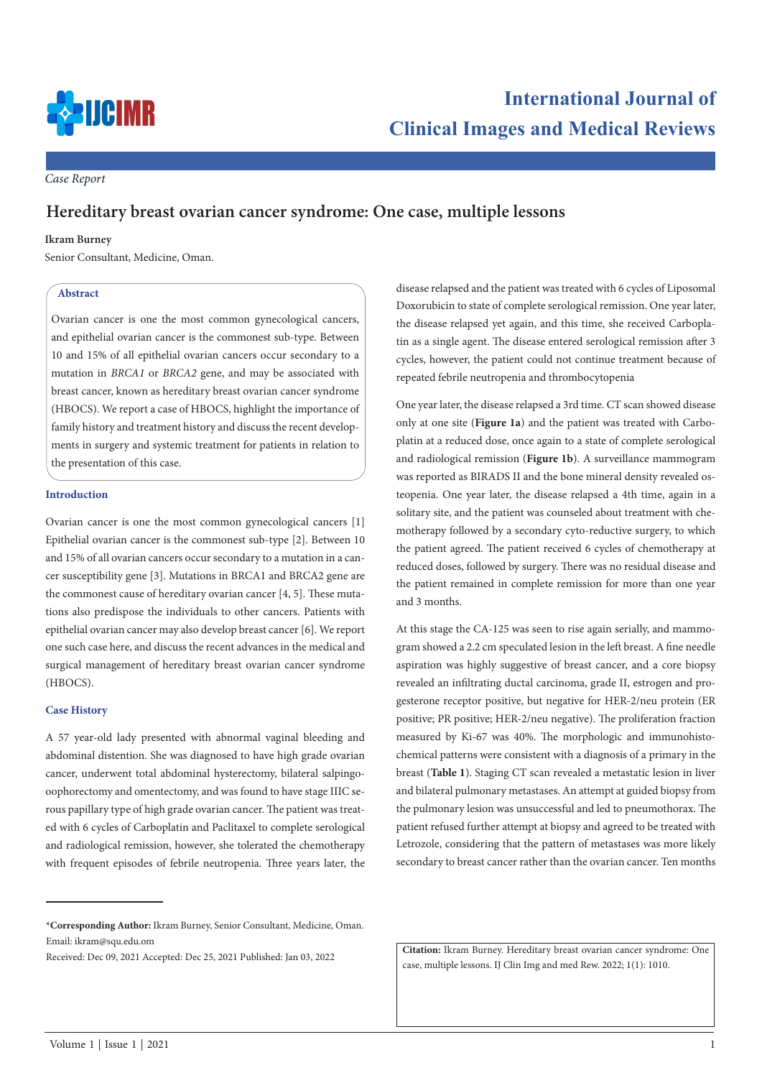

*Case Report*

# **Hereditary breast ovarian cancer syndrome: One case, multiple lessons**

## **Ikram Burney**

Senior Consultant, Medicine, Oman.

# **Abstract**

Ovarian cancer is one the most common gynecological cancers, and epithelial ovarian cancer is the commonest sub-type. Between 10 and 15% of all epithelial ovarian cancers occur secondary to a mutation in *BRCA1* or *BRCA2* gene, and may be associated with breast cancer, known as hereditary breast ovarian cancer syndrome (HBOCS). We report a case of HBOCS, highlight the importance of family history and treatment history and discuss the recent developments in surgery and systemic treatment for patients in relation to the presentation of this case.

#### **Introduction**

Ovarian cancer is one the most common gynecological cancers [1] Epithelial ovarian cancer is the commonest sub-type [2]. Between 10 and 15% of all ovarian cancers occur secondary to a mutation in a cancer susceptibility gene [3]. Mutations in BRCA1 and BRCA2 gene are the commonest cause of hereditary ovarian cancer [4, 5]. These mutations also predispose the individuals to other cancers. Patients with epithelial ovarian cancer may also develop breast cancer [6]. We report one such case here, and discuss the recent advances in the medical and surgical management of hereditary breast ovarian cancer syndrome (HBOCS).

#### **Case History**

A 57 year-old lady presented with abnormal vaginal bleeding and abdominal distention. She was diagnosed to have high grade ovarian cancer, underwent total abdominal hysterectomy, bilateral salpingooophorectomy and omentectomy, and was found to have stage IIIC serous papillary type of high grade ovarian cancer. The patient was treated with 6 cycles of Carboplatin and Paclitaxel to complete serological and radiological remission, however, she tolerated the chemotherapy with frequent episodes of febrile neutropenia. Three years later, the

disease relapsed and the patient was treated with 6 cycles of Liposomal Doxorubicin to state of complete serological remission. One year later, the disease relapsed yet again, and this time, she received Carboplatin as a single agent. The disease entered serological remission after 3 cycles, however, the patient could not continue treatment because of repeated febrile neutropenia and thrombocytopenia

One year later, the disease relapsed a 3rd time. CT scan showed disease only at one site (**Figure 1a**) and the patient was treated with Carboplatin at a reduced dose, once again to a state of complete serological and radiological remission (**Figure 1b**). A surveillance mammogram was reported as BIRADS II and the bone mineral density revealed osteopenia. One year later, the disease relapsed a 4th time, again in a solitary site, and the patient was counseled about treatment with chemotherapy followed by a secondary cyto-reductive surgery, to which the patient agreed. The patient received 6 cycles of chemotherapy at reduced doses, followed by surgery. There was no residual disease and the patient remained in complete remission for more than one year and 3 months.

At this stage the CA-125 was seen to rise again serially, and mammogram showed a 2.2 cm speculated lesion in the left breast. A fine needle aspiration was highly suggestive of breast cancer, and a core biopsy revealed an infiltrating ductal carcinoma, grade II, estrogen and progesterone receptor positive, but negative for HER-2/neu protein (ER positive; PR positive; HER-2/neu negative). The proliferation fraction measured by Ki-67 was 40%. The morphologic and immunohistochemical patterns were consistent with a diagnosis of a primary in the breast (**Table 1**). Staging CT scan revealed a metastatic lesion in liver and bilateral pulmonary metastases. An attempt at guided biopsy from the pulmonary lesion was unsuccessful and led to pneumothorax. The patient refused further attempt at biopsy and agreed to be treated with Letrozole, considering that the pattern of metastases was more likely secondary to breast cancer rather than the ovarian cancer. Ten months

**Citation:** Ikram Burney. Hereditary breast ovarian cancer syndrome: One case, multiple lessons. IJ Clin Img and med Rew. 2022; 1(1): 1010.

**<sup>\*</sup>Corresponding Author:** Ikram Burney, Senior Consultant, Medicine, Oman. Email: ikram@squ.edu.om

Received: Dec 09, 2021 Accepted: Dec 25, 2021 Published: Jan 03, 2022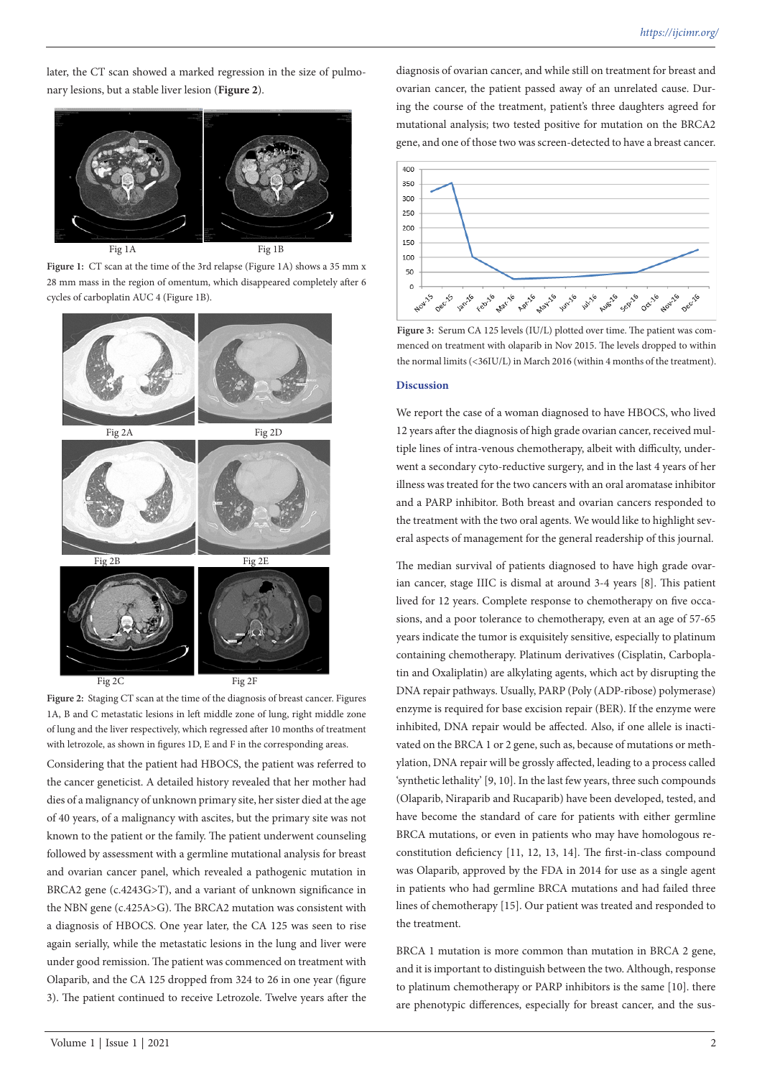later, the CT scan showed a marked regression in the size of pulmonary lesions, but a stable liver lesion (**Figure 2**).



Figure 1: CT scan at the time of the 3rd relapse (Figure 1A) shows a 35 mm x 28 mm mass in the region of omentum, which disappeared completely after 6 cycles of carboplatin AUC 4 (Figure 1B).



**Figure 2:** Staging CT scan at the time of the diagnosis of breast cancer. Figures 1A, B and C metastatic lesions in left middle zone of lung, right middle zone of lung and the liver respectively, which regressed after 10 months of treatment with letrozole, as shown in figures 1D, E and F in the corresponding areas.

Considering that the patient had HBOCS, the patient was referred to the cancer geneticist. A detailed history revealed that her mother had dies of a malignancy of unknown primary site, her sister died at the age of 40 years, of a malignancy with ascites, but the primary site was not known to the patient or the family. The patient underwent counseling followed by assessment with a germline mutational analysis for breast and ovarian cancer panel, which revealed a pathogenic mutation in BRCA2 gene (c.4243G>T), and a variant of unknown significance in the NBN gene (c.425A>G). The BRCA2 mutation was consistent with a diagnosis of HBOCS. One year later, the CA 125 was seen to rise again serially, while the metastatic lesions in the lung and liver were under good remission. The patient was commenced on treatment with Olaparib, and the CA 125 dropped from 324 to 26 in one year (figure 3). The patient continued to receive Letrozole. Twelve years after the

diagnosis of ovarian cancer, and while still on treatment for breast and ovarian cancer, the patient passed away of an unrelated cause. During the course of the treatment, patient's three daughters agreed for mutational analysis; two tested positive for mutation on the BRCA2 gene, and one of those two was screen-detected to have a breast cancer.



**Figure 3:** Serum CA 125 levels (IU/L) plotted over time. The patient was commenced on treatment with olaparib in Nov 2015. The levels dropped to within the normal limits (<36IU/L) in March 2016 (within 4 months of the treatment).

# **Discussion**

We report the case of a woman diagnosed to have HBOCS, who lived 12 years after the diagnosis of high grade ovarian cancer, received multiple lines of intra-venous chemotherapy, albeit with difficulty, underwent a secondary cyto-reductive surgery, and in the last 4 years of her illness was treated for the two cancers with an oral aromatase inhibitor and a PARP inhibitor. Both breast and ovarian cancers responded to the treatment with the two oral agents. We would like to highlight several aspects of management for the general readership of this journal.

The median survival of patients diagnosed to have high grade ovarian cancer, stage IIIC is dismal at around 3-4 years [8]. This patient lived for 12 years. Complete response to chemotherapy on five occasions, and a poor tolerance to chemotherapy, even at an age of 57-65 years indicate the tumor is exquisitely sensitive, especially to platinum containing chemotherapy. Platinum derivatives (Cisplatin, Carboplatin and Oxaliplatin) are alkylating agents, which act by disrupting the DNA repair pathways. Usually, PARP (Poly (ADP-ribose) polymerase) enzyme is required for base excision repair (BER). If the enzyme were inhibited, DNA repair would be affected. Also, if one allele is inactivated on the BRCA 1 or 2 gene, such as, because of mutations or methylation, DNA repair will be grossly affected, leading to a process called 'synthetic lethality' [9, 10]. In the last few years, three such compounds (Olaparib, Niraparib and Rucaparib) have been developed, tested, and have become the standard of care for patients with either germline BRCA mutations, or even in patients who may have homologous reconstitution deficiency [11, 12, 13, 14]. The first-in-class compound was Olaparib, approved by the FDA in 2014 for use as a single agent in patients who had germline BRCA mutations and had failed three lines of chemotherapy [15]. Our patient was treated and responded to the treatment.

BRCA 1 mutation is more common than mutation in BRCA 2 gene, and it is important to distinguish between the two. Although, response to platinum chemotherapy or PARP inhibitors is the same [10]. there are phenotypic differences, especially for breast cancer, and the sus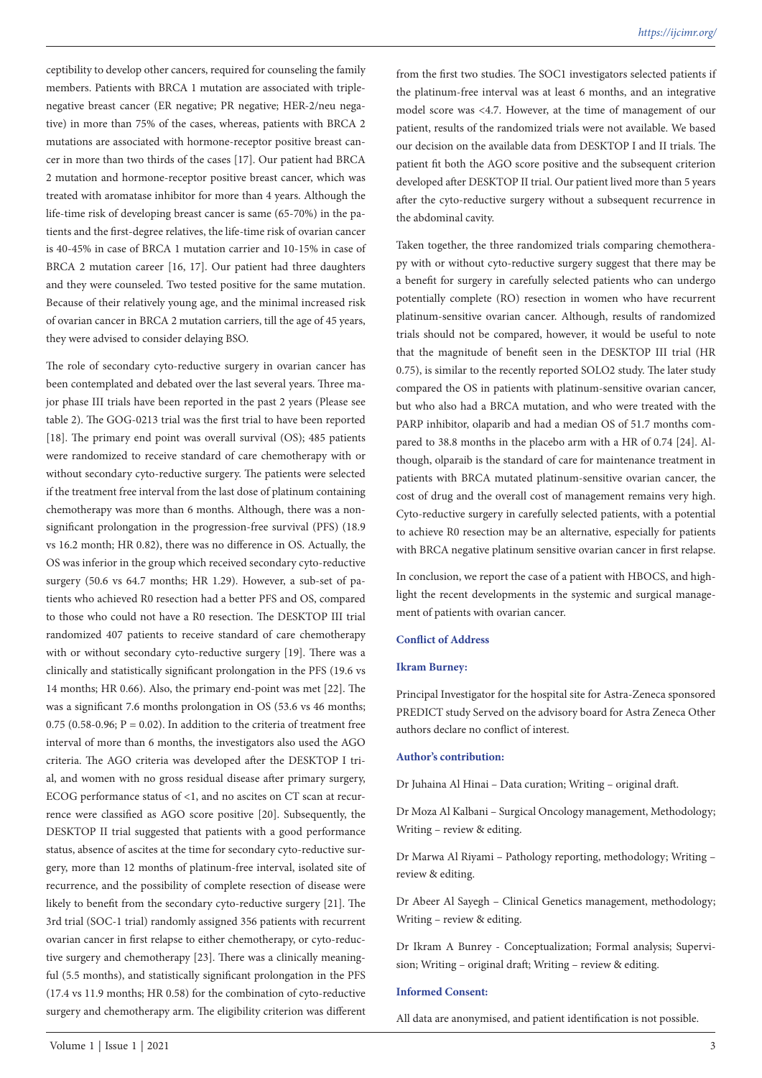ceptibility to develop other cancers, required for counseling the family members. Patients with BRCA 1 mutation are associated with triplenegative breast cancer (ER negative; PR negative; HER-2/neu negative) in more than 75% of the cases, whereas, patients with BRCA 2 mutations are associated with hormone-receptor positive breast cancer in more than two thirds of the cases [17]. Our patient had BRCA 2 mutation and hormone-receptor positive breast cancer, which was treated with aromatase inhibitor for more than 4 years. Although the life-time risk of developing breast cancer is same (65-70%) in the patients and the first-degree relatives, the life-time risk of ovarian cancer is 40-45% in case of BRCA 1 mutation carrier and 10-15% in case of BRCA 2 mutation career [16, 17]. Our patient had three daughters and they were counseled. Two tested positive for the same mutation. Because of their relatively young age, and the minimal increased risk of ovarian cancer in BRCA 2 mutation carriers, till the age of 45 years, they were advised to consider delaying BSO.

The role of secondary cyto-reductive surgery in ovarian cancer has been contemplated and debated over the last several years. Three major phase III trials have been reported in the past 2 years (Please see table 2). The GOG-0213 trial was the first trial to have been reported [18]. The primary end point was overall survival (OS); 485 patients were randomized to receive standard of care chemotherapy with or without secondary cyto-reductive surgery. The patients were selected if the treatment free interval from the last dose of platinum containing chemotherapy was more than 6 months. Although, there was a nonsignificant prolongation in the progression-free survival (PFS) (18.9 vs 16.2 month; HR 0.82), there was no difference in OS. Actually, the OS was inferior in the group which received secondary cyto-reductive surgery (50.6 vs 64.7 months; HR 1.29). However, a sub-set of patients who achieved R0 resection had a better PFS and OS, compared to those who could not have a R0 resection. The DESKTOP III trial randomized 407 patients to receive standard of care chemotherapy with or without secondary cyto-reductive surgery [19]. There was a clinically and statistically significant prolongation in the PFS (19.6 vs 14 months; HR 0.66). Also, the primary end-point was met [22]. The was a significant 7.6 months prolongation in OS (53.6 vs 46 months; 0.75 (0.58-0.96;  $P = 0.02$ ). In addition to the criteria of treatment free interval of more than 6 months, the investigators also used the AGO criteria. The AGO criteria was developed after the DESKTOP I trial, and women with no gross residual disease after primary surgery, ECOG performance status of <1, and no ascites on CT scan at recurrence were classified as AGO score positive [20]. Subsequently, the DESKTOP II trial suggested that patients with a good performance status, absence of ascites at the time for secondary cyto-reductive surgery, more than 12 months of platinum-free interval, isolated site of recurrence, and the possibility of complete resection of disease were likely to benefit from the secondary cyto-reductive surgery [21]. The 3rd trial (SOC-1 trial) randomly assigned 356 patients with recurrent ovarian cancer in first relapse to either chemotherapy, or cyto-reductive surgery and chemotherapy [23]. There was a clinically meaningful (5.5 months), and statistically significant prolongation in the PFS (17.4 vs 11.9 months; HR 0.58) for the combination of cyto-reductive surgery and chemotherapy arm. The eligibility criterion was different from the first two studies. The SOC1 investigators selected patients if the platinum-free interval was at least 6 months, and an integrative model score was <4.7. However, at the time of management of our patient, results of the randomized trials were not available. We based our decision on the available data from DESKTOP I and II trials. The patient fit both the AGO score positive and the subsequent criterion developed after DESKTOP II trial. Our patient lived more than 5 years after the cyto-reductive surgery without a subsequent recurrence in the abdominal cavity.

Taken together, the three randomized trials comparing chemotherapy with or without cyto-reductive surgery suggest that there may be a benefit for surgery in carefully selected patients who can undergo potentially complete (RO) resection in women who have recurrent platinum-sensitive ovarian cancer. Although, results of randomized trials should not be compared, however, it would be useful to note that the magnitude of benefit seen in the DESKTOP III trial (HR 0.75), is similar to the recently reported SOLO2 study. The later study compared the OS in patients with platinum-sensitive ovarian cancer, but who also had a BRCA mutation, and who were treated with the PARP inhibitor, olaparib and had a median OS of 51.7 months compared to 38.8 months in the placebo arm with a HR of 0.74 [24]. Although, olparaib is the standard of care for maintenance treatment in patients with BRCA mutated platinum-sensitive ovarian cancer, the cost of drug and the overall cost of management remains very high. Cyto-reductive surgery in carefully selected patients, with a potential to achieve R0 resection may be an alternative, especially for patients with BRCA negative platinum sensitive ovarian cancer in first relapse.

In conclusion, we report the case of a patient with HBOCS, and highlight the recent developments in the systemic and surgical management of patients with ovarian cancer.

## **Conflict of Address**

#### **Ikram Burney:**

Principal Investigator for the hospital site for Astra-Zeneca sponsored PREDICT study Served on the advisory board for Astra Zeneca Other authors declare no conflict of interest.

#### **Author's contribution:**

Dr Juhaina Al Hinai – Data curation; Writing – original draft.

Dr Moza Al Kalbani – Surgical Oncology management, Methodology; Writing – review & editing.

Dr Marwa Al Riyami – Pathology reporting, methodology; Writing – review & editing.

Dr Abeer Al Sayegh – Clinical Genetics management, methodology; Writing – review & editing.

Dr Ikram A Bunrey - Conceptualization; Formal analysis; Supervision; Writing – original draft; Writing – review & editing.

## **Informed Consent:**

All data are anonymised, and patient identification is not possible.